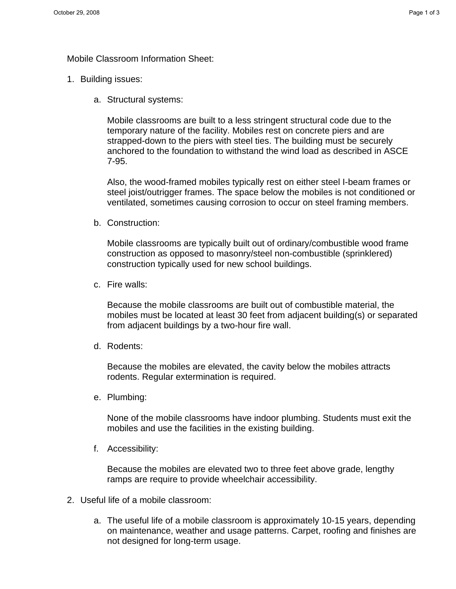Mobile Classroom Information Sheet:

- 1. Building issues:
	- a. Structural systems:

Mobile classrooms are built to a less stringent structural code due to the temporary nature of the facility. Mobiles rest on concrete piers and are strapped-down to the piers with steel ties. The building must be securely anchored to the foundation to withstand the wind load as described in ASCE 7-95.

Also, the wood-framed mobiles typically rest on either steel I-beam frames or steel joist/outrigger frames. The space below the mobiles is not conditioned or ventilated, sometimes causing corrosion to occur on steel framing members.

b. Construction:

Mobile classrooms are typically built out of ordinary/combustible wood frame construction as opposed to masonry/steel non-combustible (sprinklered) construction typically used for new school buildings.

c. Fire walls:

Because the mobile classrooms are built out of combustible material, the mobiles must be located at least 30 feet from adjacent building(s) or separated from adjacent buildings by a two-hour fire wall.

d. Rodents:

Because the mobiles are elevated, the cavity below the mobiles attracts rodents. Regular extermination is required.

e. Plumbing:

None of the mobile classrooms have indoor plumbing. Students must exit the mobiles and use the facilities in the existing building.

f. Accessibility:

Because the mobiles are elevated two to three feet above grade, lengthy ramps are require to provide wheelchair accessibility.

- 2. Useful life of a mobile classroom:
	- a. The useful life of a mobile classroom is approximately 10-15 years, depending on maintenance, weather and usage patterns. Carpet, roofing and finishes are not designed for long-term usage.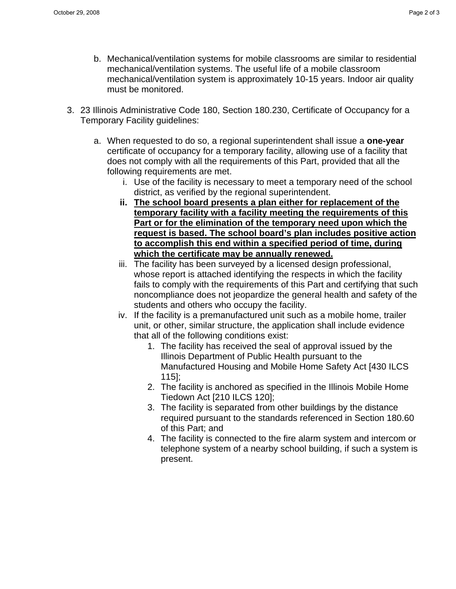- b. Mechanical/ventilation systems for mobile classrooms are similar to residential mechanical/ventilation systems. The useful life of a mobile classroom mechanical/ventilation system is approximately 10-15 years. Indoor air quality must be monitored.
- 3. 23 Illinois Administrative Code 180, Section 180.230, Certificate of Occupancy for a Temporary Facility guidelines:
	- a. When requested to do so, a regional superintendent shall issue a **one-year** certificate of occupancy for a temporary facility, allowing use of a facility that does not comply with all the requirements of this Part, provided that all the following requirements are met.
		- i. Use of the facility is necessary to meet a temporary need of the school district, as verified by the regional superintendent.
		- **ii. The school board presents a plan either for replacement of the temporary facility with a facility meeting the requirements of this Part or for the elimination of the temporary need upon which the request is based. The school board's plan includes positive action to accomplish this end within a specified period of time, during which the certificate may be annually renewed.**
		- iii. The facility has been surveyed by a licensed design professional, whose report is attached identifying the respects in which the facility fails to comply with the requirements of this Part and certifying that such noncompliance does not jeopardize the general health and safety of the students and others who occupy the facility.
		- iv. If the facility is a premanufactured unit such as a mobile home, trailer unit, or other, similar structure, the application shall include evidence that all of the following conditions exist:
			- 1. The facility has received the seal of approval issued by the Illinois Department of Public Health pursuant to the Manufactured Housing and Mobile Home Safety Act [430 ILCS 115];
			- 2. The facility is anchored as specified in the Illinois Mobile Home Tiedown Act [210 ILCS 120];
			- 3. The facility is separated from other buildings by the distance required pursuant to the standards referenced in Section 180.60 of this Part; and
			- 4. The facility is connected to the fire alarm system and intercom or telephone system of a nearby school building, if such a system is present.